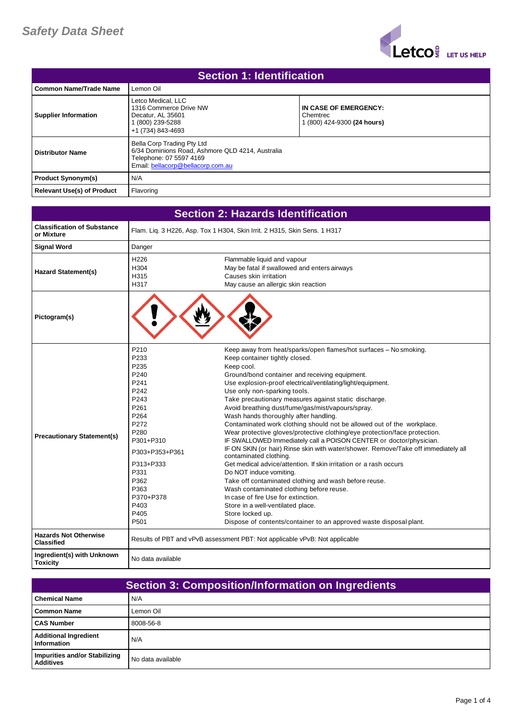

| <b>Section 1: Identification</b>  |                                                                                                                                                |                                                                  |
|-----------------------------------|------------------------------------------------------------------------------------------------------------------------------------------------|------------------------------------------------------------------|
| Common Name/Trade Name            | Lemon Oil                                                                                                                                      |                                                                  |
| <b>Supplier Information</b>       | Letco Medical, LLC<br>1316 Commerce Drive NW<br>Decatur, AL 35601<br>1 (800) 239-5288<br>+1 (734) 843-4693                                     | IN CASE OF EMERGENCY:<br>Chemtrec<br>1 (800) 424-9300 (24 hours) |
| <b>Distributor Name</b>           | Bella Corp Trading Pty Ltd<br>6/34 Dominions Road, Ashmore QLD 4214, Australia<br>Telephone: 07 5597 4169<br>Email: bellacorp@bellacorp.com.au |                                                                  |
| <b>Product Synonym(s)</b>         | N/A                                                                                                                                            |                                                                  |
| <b>Relevant Use(s) of Product</b> | Flavoring                                                                                                                                      |                                                                  |

| <b>Section 2: Hazards Identification</b>          |                                                                                                                                                                                                                                                                       |                                                                                                                                                                                                                                                                                                                                                                                                                                                                                                                                                                                                                                                                                                                                                                                                                                                                                                                                                                                                                                                                                                                                                    |
|---------------------------------------------------|-----------------------------------------------------------------------------------------------------------------------------------------------------------------------------------------------------------------------------------------------------------------------|----------------------------------------------------------------------------------------------------------------------------------------------------------------------------------------------------------------------------------------------------------------------------------------------------------------------------------------------------------------------------------------------------------------------------------------------------------------------------------------------------------------------------------------------------------------------------------------------------------------------------------------------------------------------------------------------------------------------------------------------------------------------------------------------------------------------------------------------------------------------------------------------------------------------------------------------------------------------------------------------------------------------------------------------------------------------------------------------------------------------------------------------------|
| <b>Classification of Substance</b><br>or Mixture  |                                                                                                                                                                                                                                                                       | Flam. Liq. 3 H226, Asp. Tox 1 H304, Skin Irrit. 2 H315, Skin Sens. 1 H317                                                                                                                                                                                                                                                                                                                                                                                                                                                                                                                                                                                                                                                                                                                                                                                                                                                                                                                                                                                                                                                                          |
| <b>Signal Word</b>                                | Danger                                                                                                                                                                                                                                                                |                                                                                                                                                                                                                                                                                                                                                                                                                                                                                                                                                                                                                                                                                                                                                                                                                                                                                                                                                                                                                                                                                                                                                    |
| <b>Hazard Statement(s)</b>                        | H <sub>226</sub><br>H <sub>304</sub><br>H315<br>H317                                                                                                                                                                                                                  | Flammable liquid and vapour<br>May be fatal if swallowed and enters airways<br>Causes skin irritation<br>May cause an allergic skin reaction                                                                                                                                                                                                                                                                                                                                                                                                                                                                                                                                                                                                                                                                                                                                                                                                                                                                                                                                                                                                       |
| Pictogram(s)                                      |                                                                                                                                                                                                                                                                       |                                                                                                                                                                                                                                                                                                                                                                                                                                                                                                                                                                                                                                                                                                                                                                                                                                                                                                                                                                                                                                                                                                                                                    |
| <b>Precautionary Statement(s)</b>                 | P <sub>210</sub><br>P233<br>P235<br>P <sub>240</sub><br>P <sub>241</sub><br>P242<br>P243<br>P <sub>261</sub><br>P <sub>264</sub><br>P272<br>P <sub>280</sub><br>P301+P310<br>P303+P353+P361<br>P313+P333<br>P331<br>P362<br>P363<br>P370+P378<br>P403<br>P405<br>P501 | Keep away from heat/sparks/open flames/hot surfaces - No smoking.<br>Keep container tightly closed.<br>Keep cool.<br>Ground/bond container and receiving equipment.<br>Use explosion-proof electrical/ventilating/light/equipment.<br>Use only non-sparking tools.<br>Take precautionary measures against static discharge.<br>Avoid breathing dust/fume/gas/mist/vapours/spray.<br>Wash hands thoroughly after handling.<br>Contaminated work clothing should not be allowed out of the workplace.<br>Wear protective gloves/protective clothing/eye protection/face protection.<br>IF SWALLOWED Immediately call a POISON CENTER or doctor/physician.<br>IF ON SKIN (or hair) Rinse skin with water/shower. Remove/Take off immediately all<br>contaminated clothing.<br>Get medical advice/attention. If skin irritation or a rash occurs<br>Do NOT induce vomiting.<br>Take off contaminated clothing and wash before reuse.<br>Wash contaminated clothing before reuse.<br>In case of fire Use for extinction.<br>Store in a well-ventilated place.<br>Store locked up.<br>Dispose of contents/container to an approved waste disposal plant. |
| <b>Hazards Not Otherwise</b><br><b>Classified</b> |                                                                                                                                                                                                                                                                       | Results of PBT and vPvB assessment PBT: Not applicable vPvB: Not applicable                                                                                                                                                                                                                                                                                                                                                                                                                                                                                                                                                                                                                                                                                                                                                                                                                                                                                                                                                                                                                                                                        |
| Ingredient(s) with Unknown<br><b>Toxicity</b>     | No data available                                                                                                                                                                                                                                                     |                                                                                                                                                                                                                                                                                                                                                                                                                                                                                                                                                                                                                                                                                                                                                                                                                                                                                                                                                                                                                                                                                                                                                    |

| <b>Section 3: Composition/Information on Ingredients</b> |                   |
|----------------------------------------------------------|-------------------|
| <b>Chemical Name</b>                                     | N/A               |
| Common Name                                              | Lemon Oil         |
| <b>CAS Number</b>                                        | 8008-56-8         |
| <b>Additional Ingredient</b><br>Information              | N/A               |
| Impurities and/or Stabilizing<br><b>Additives</b>        | No data available |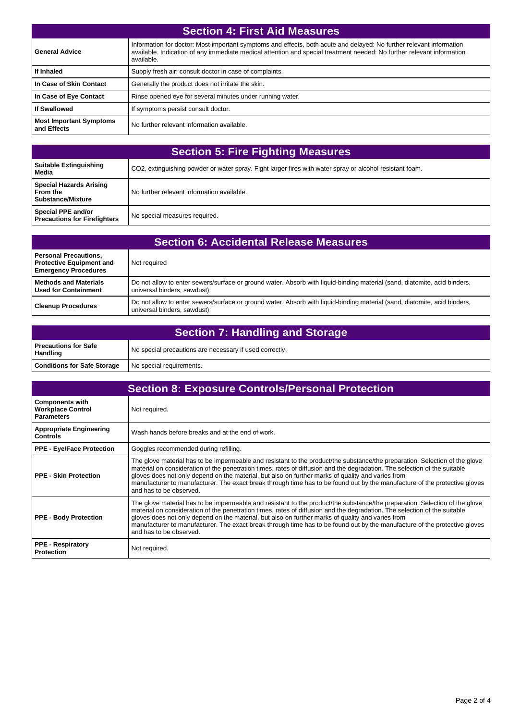| <b>Section 4: First Aid Measures</b>          |                                                                                                                                                                                                                                                              |  |
|-----------------------------------------------|--------------------------------------------------------------------------------------------------------------------------------------------------------------------------------------------------------------------------------------------------------------|--|
| <b>General Advice</b>                         | Information for doctor: Most important symptoms and effects, both acute and delayed: No further relevant information<br>available. Indication of any immediate medical attention and special treatment needed: No further relevant information<br>available. |  |
| If Inhaled                                    | Supply fresh air; consult doctor in case of complaints.                                                                                                                                                                                                      |  |
| In Case of Skin Contact                       | Generally the product does not irritate the skin.                                                                                                                                                                                                            |  |
| In Case of Eye Contact                        | Rinse opened eye for several minutes under running water.                                                                                                                                                                                                    |  |
| <b>If Swallowed</b>                           | If symptoms persist consult doctor.                                                                                                                                                                                                                          |  |
| <b>Most Important Symptoms</b><br>and Effects | No further relevant information available.                                                                                                                                                                                                                   |  |

| <b>Section 5: Fire Fighting Measures</b>                          |                                                                                                          |
|-------------------------------------------------------------------|----------------------------------------------------------------------------------------------------------|
| Suitable Extinguishing<br>Media                                   | CO2, extinguishing powder or water spray. Fight larger fires with water spray or alcohol resistant foam. |
| Special Hazards Arising<br>I From the<br><b>Substance/Mixture</b> | No further relevant information available.                                                               |
| Special PPE and/or<br><b>Precautions for Firefighters</b>         | No special measures required.                                                                            |

| <b>Section 6: Accidental Release Measures</b>                                                  |                                                                                                                                                           |
|------------------------------------------------------------------------------------------------|-----------------------------------------------------------------------------------------------------------------------------------------------------------|
| <b>Personal Precautions,</b><br><b>Protective Equipment and</b><br><b>Emergency Procedures</b> | Not required                                                                                                                                              |
| <b>Methods and Materials</b><br>l Used for Containment                                         | Do not allow to enter sewers/surface or ground water. Absorb with liquid-binding material (sand, diatomite, acid binders,<br>universal binders, sawdust). |
| <b>Cleanup Procedures</b>                                                                      | Do not allow to enter sewers/surface or ground water. Absorb with liquid-binding material (sand, diatomite, acid binders,<br>universal binders, sawdust). |

| <b>Section 7: Handling and Storage</b>  |                                                         |
|-----------------------------------------|---------------------------------------------------------|
| Precautions for Safe<br><b>Handling</b> | No special precautions are necessary if used correctly. |
| <b>Conditions for Safe Storage</b>      | No special requirements.                                |

| <b>Section 8: Exposure Controls/Personal Protection</b>                 |                                                                                                                                                                                                                                                                                                                                                                                                                                                                                                                        |
|-------------------------------------------------------------------------|------------------------------------------------------------------------------------------------------------------------------------------------------------------------------------------------------------------------------------------------------------------------------------------------------------------------------------------------------------------------------------------------------------------------------------------------------------------------------------------------------------------------|
| <b>Components with</b><br><b>Workplace Control</b><br><b>Parameters</b> | Not required.                                                                                                                                                                                                                                                                                                                                                                                                                                                                                                          |
| <b>Appropriate Engineering</b><br><b>Controls</b>                       | Wash hands before breaks and at the end of work.                                                                                                                                                                                                                                                                                                                                                                                                                                                                       |
| <b>PPE - Eye/Face Protection</b>                                        | Goggles recommended during refilling.                                                                                                                                                                                                                                                                                                                                                                                                                                                                                  |
| <b>PPE - Skin Protection</b>                                            | The glove material has to be impermeable and resistant to the product/the substance/the preparation. Selection of the glove<br>material on consideration of the penetration times, rates of diffusion and the degradation. The selection of the suitable<br>gloves does not only depend on the material, but also on further marks of quality and varies from<br>manufacturer to manufacturer. The exact break through time has to be found out by the manufacture of the protective gloves<br>and has to be observed. |
| <b>PPE - Body Protection</b>                                            | The glove material has to be impermeable and resistant to the product/the substance/the preparation. Selection of the glove<br>material on consideration of the penetration times, rates of diffusion and the degradation. The selection of the suitable<br>gloves does not only depend on the material, but also on further marks of quality and varies from<br>manufacturer to manufacturer. The exact break through time has to be found out by the manufacture of the protective gloves<br>and has to be observed. |
| <b>PPE - Respiratory</b><br><b>Protection</b>                           | Not required.                                                                                                                                                                                                                                                                                                                                                                                                                                                                                                          |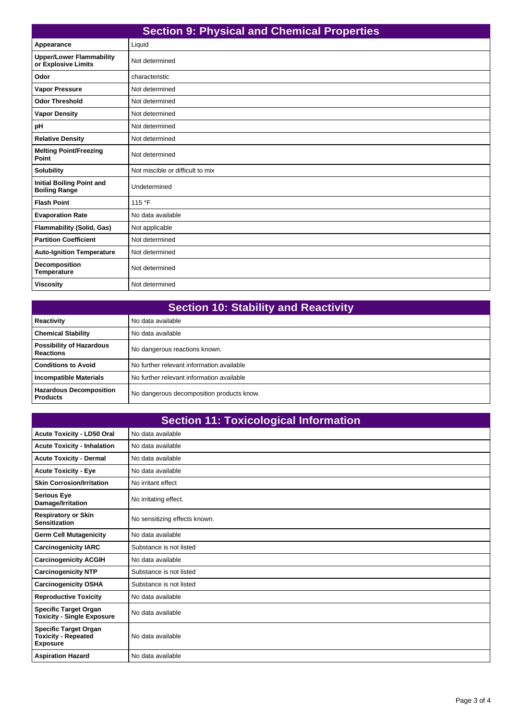| <b>Section 9: Physical and Chemical Properties</b>       |                                  |  |
|----------------------------------------------------------|----------------------------------|--|
| Appearance                                               | Liquid                           |  |
| <b>Upper/Lower Flammability</b><br>or Explosive Limits   | Not determined                   |  |
| Odor                                                     | characteristic                   |  |
| <b>Vapor Pressure</b>                                    | Not determined                   |  |
| <b>Odor Threshold</b>                                    | Not determined                   |  |
| <b>Vapor Density</b>                                     | Not determined                   |  |
| pH                                                       | Not determined                   |  |
| <b>Relative Density</b>                                  | Not determined                   |  |
| <b>Melting Point/Freezing</b><br>Point                   | Not determined                   |  |
| <b>Solubility</b>                                        | Not miscible or difficult to mix |  |
| <b>Initial Boiling Point and</b><br><b>Boiling Range</b> | Undetermined                     |  |
| <b>Flash Point</b>                                       | 115 °F                           |  |
| <b>Evaporation Rate</b>                                  | No data available                |  |
| <b>Flammability (Solid, Gas)</b>                         | Not applicable                   |  |
| <b>Partition Coefficient</b>                             | Not determined                   |  |
| <b>Auto-Ignition Temperature</b>                         | Not determined                   |  |
| Decomposition<br><b>Temperature</b>                      | Not determined                   |  |
| <b>Viscosity</b>                                         | Not determined                   |  |

| <b>Section 10: Stability and Reactivity</b>         |                                           |  |
|-----------------------------------------------------|-------------------------------------------|--|
| Reactivity                                          | No data available                         |  |
| <b>Chemical Stability</b>                           | No data available                         |  |
| <b>Possibility of Hazardous</b><br><b>Reactions</b> | No dangerous reactions known.             |  |
| <b>Conditions to Avoid</b>                          | No further relevant information available |  |
| <b>Incompatible Materials</b>                       | No further relevant information available |  |
| <b>Hazardous Decomposition</b><br><b>Products</b>   | No dangerous decomposition products know. |  |

| <b>Section 11: Toxicological Information</b>                                  |                               |  |
|-------------------------------------------------------------------------------|-------------------------------|--|
| <b>Acute Toxicity - LD50 Oral</b>                                             | No data available             |  |
| <b>Acute Toxicity - Inhalation</b>                                            | No data available             |  |
| <b>Acute Toxicity - Dermal</b>                                                | No data available             |  |
| <b>Acute Toxicity - Eye</b>                                                   | No data available             |  |
| <b>Skin Corrosion/Irritation</b>                                              | No irritant effect            |  |
| <b>Serious Eye</b><br>Damage/Irritation                                       | No irritating effect.         |  |
| <b>Respiratory or Skin</b><br><b>Sensitization</b>                            | No sensitizing effects known. |  |
| <b>Germ Cell Mutagenicity</b>                                                 | No data available             |  |
| <b>Carcinogenicity IARC</b>                                                   | Substance is not listed       |  |
| <b>Carcinogenicity ACGIH</b>                                                  | No data available             |  |
| <b>Carcinogenicity NTP</b>                                                    | Substance is not listed       |  |
| <b>Carcinogenicity OSHA</b>                                                   | Substance is not listed       |  |
| <b>Reproductive Toxicity</b>                                                  | No data available             |  |
| <b>Specific Target Organ</b><br><b>Toxicity - Single Exposure</b>             | No data available             |  |
| <b>Specific Target Organ</b><br><b>Toxicity - Repeated</b><br><b>Exposure</b> | No data available             |  |
| <b>Aspiration Hazard</b>                                                      | No data available             |  |